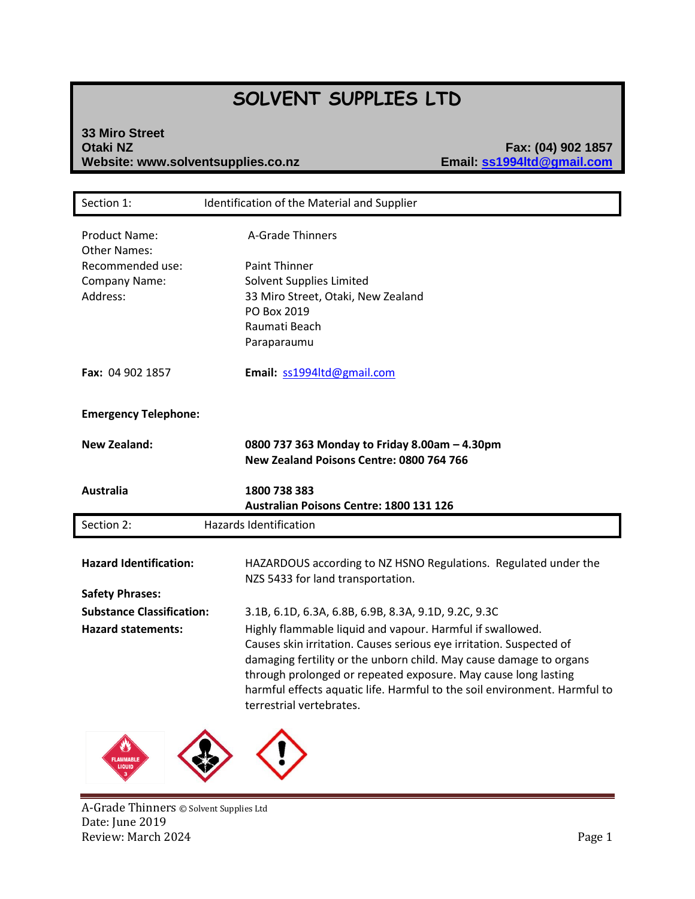# **SOLVENT SUPPLIES LTD**

# **33 Miro Street** Website: www.solventsupplies.co.nz

**Otaki NZ Fax: (04) 902 1857**

| Section 1:                                  | Identification of the Material and Supplier                                                                                                                                                                                                                                                                          |
|---------------------------------------------|----------------------------------------------------------------------------------------------------------------------------------------------------------------------------------------------------------------------------------------------------------------------------------------------------------------------|
| <b>Product Name:</b><br><b>Other Names:</b> | A-Grade Thinners                                                                                                                                                                                                                                                                                                     |
| Recommended use:                            | <b>Paint Thinner</b>                                                                                                                                                                                                                                                                                                 |
| Company Name:                               | Solvent Supplies Limited                                                                                                                                                                                                                                                                                             |
| Address:                                    | 33 Miro Street, Otaki, New Zealand                                                                                                                                                                                                                                                                                   |
|                                             | PO Box 2019                                                                                                                                                                                                                                                                                                          |
|                                             | Raumati Beach                                                                                                                                                                                                                                                                                                        |
|                                             | Paraparaumu                                                                                                                                                                                                                                                                                                          |
| Fax: 04 902 1857                            | Email: ss1994ltd@gmail.com                                                                                                                                                                                                                                                                                           |
| <b>Emergency Telephone:</b>                 |                                                                                                                                                                                                                                                                                                                      |
| <b>New Zealand:</b>                         | 0800 737 363 Monday to Friday 8.00am - 4.30pm<br>New Zealand Poisons Centre: 0800 764 766                                                                                                                                                                                                                            |
| <b>Australia</b>                            | 1800 738 383<br>Australian Poisons Centre: 1800 131 126                                                                                                                                                                                                                                                              |
| Section 2:                                  | <b>Hazards Identification</b>                                                                                                                                                                                                                                                                                        |
|                                             |                                                                                                                                                                                                                                                                                                                      |
| <b>Hazard Identification:</b>               | HAZARDOUS according to NZ HSNO Regulations. Regulated under the                                                                                                                                                                                                                                                      |
|                                             | NZS 5433 for land transportation.                                                                                                                                                                                                                                                                                    |
| <b>Safety Phrases:</b>                      |                                                                                                                                                                                                                                                                                                                      |
| <b>Substance Classification:</b>            | 3.1B, 6.1D, 6.3A, 6.8B, 6.9B, 8.3A, 9.1D, 9.2C, 9.3C                                                                                                                                                                                                                                                                 |
| <b>Hazard statements:</b>                   | Highly flammable liquid and vapour. Harmful if swallowed.                                                                                                                                                                                                                                                            |
|                                             | Causes skin irritation. Causes serious eye irritation. Suspected of<br>damaging fertility or the unborn child. May cause damage to organs<br>through prolonged or repeated exposure. May cause long lasting<br>harmful effects aquatic life. Harmful to the soil environment. Harmful to<br>terrestrial vertebrates. |
|                                             |                                                                                                                                                                                                                                                                                                                      |



A-Grade Thinners © Solvent Supplies Ltd Date: June 2019 Review: March 2024 **Page 1**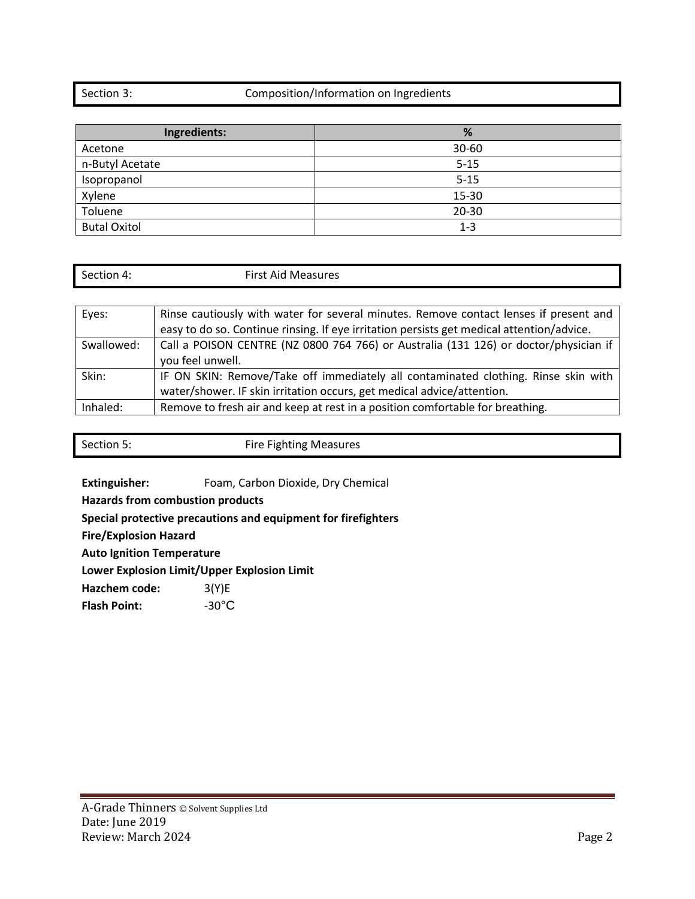### Section 3: Composition/Information on Ingredients

| Ingredients:        | %         |
|---------------------|-----------|
| Acetone             | $30 - 60$ |
| n-Butyl Acetate     | $5 - 15$  |
| Isopropanol         | $5 - 15$  |
| Xylene              | 15-30     |
| Toluene             | $20 - 30$ |
| <b>Butal Oxitol</b> | $1 - 3$   |

| Section 4: |  |
|------------|--|
|            |  |

First Aid Measures

| Eyes:      | Rinse cautiously with water for several minutes. Remove contact lenses if present and     |
|------------|-------------------------------------------------------------------------------------------|
|            | easy to do so. Continue rinsing. If eye irritation persists get medical attention/advice. |
| Swallowed: | Call a POISON CENTRE (NZ 0800 764 766) or Australia (131 126) or doctor/physician if      |
|            | you feel unwell.                                                                          |
| Skin:      | IF ON SKIN: Remove/Take off immediately all contaminated clothing. Rinse skin with        |
|            | water/shower. IF skin irritation occurs, get medical advice/attention.                    |
| Inhaled:   | Remove to fresh air and keep at rest in a position comfortable for breathing.             |

| Section 5: | <b>Fire Fighting Measures</b> |
|------------|-------------------------------|
|            |                               |
|            |                               |

**Extinguisher:** Foam, Carbon Dioxide, Dry Chemical

**Hazards from combustion products**

**Special protective precautions and equipment for firefighters**

**Fire/Explosion Hazard**

**Auto Ignition Temperature**

**Lower Explosion Limit/Upper Explosion Limit**

**Hazchem code:** 3(Y)E

Flash Point:  $-30^{\circ}$ C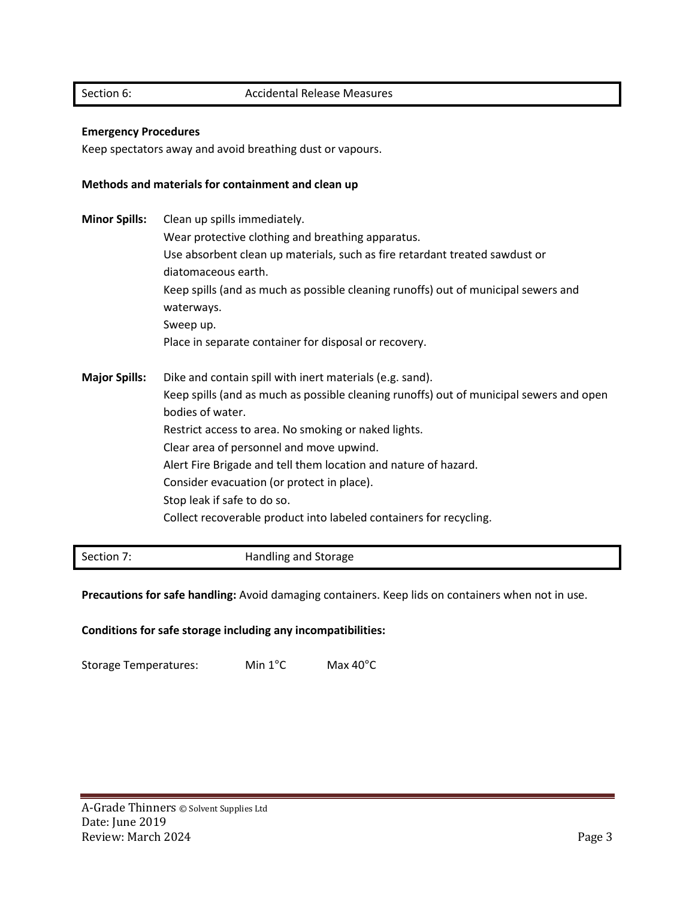#### **Emergency Procedures**

Keep spectators away and avoid breathing dust or vapours.

#### **Methods and materials for containment and clean up**

**Minor Spills:** Clean up spills immediately. Wear protective clothing and breathing apparatus. Use absorbent clean up materials, such as fire retardant treated sawdust or diatomaceous earth. Keep spills (and as much as possible cleaning runoffs) out of municipal sewers and waterways. Sweep up. Place in separate container for disposal or recovery. **Major Spills:** Dike and contain spill with inert materials (e.g. sand). Keep spills (and as much as possible cleaning runoffs) out of municipal sewers and open bodies of water. Restrict access to area. No smoking or naked lights. Clear area of personnel and move upwind. Alert Fire Brigade and tell them location and nature of hazard. Consider evacuation (or protect in place). Stop leak if safe to do so. Collect recoverable product into labeled containers for recycling.

Section 7: **Handling and Storage** 

**Precautions for safe handling:** Avoid damaging containers. Keep lids on containers when not in use.

**Conditions for safe storage including any incompatibilities:**

Storage Temperatures: Min 1°C Max 40°C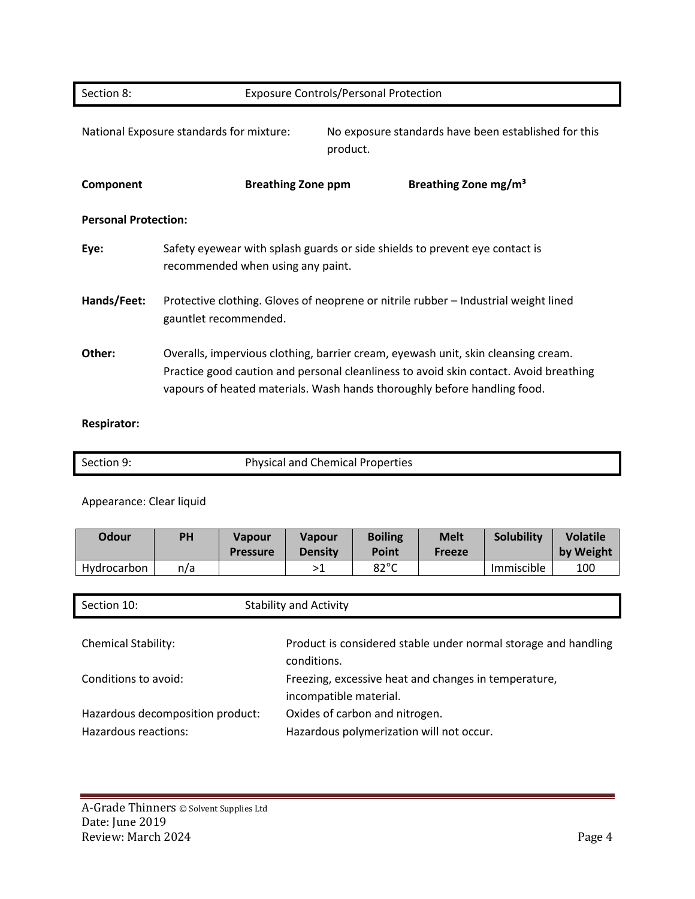| Section 8:                  |                                          | <b>Exposure Controls/Personal Protection</b> |          |                                                                                                                                                                                                                                                        |  |
|-----------------------------|------------------------------------------|----------------------------------------------|----------|--------------------------------------------------------------------------------------------------------------------------------------------------------------------------------------------------------------------------------------------------------|--|
|                             | National Exposure standards for mixture: |                                              | product. | No exposure standards have been established for this                                                                                                                                                                                                   |  |
| Component                   |                                          | <b>Breathing Zone ppm</b>                    |          | Breathing Zone mg/m <sup>3</sup>                                                                                                                                                                                                                       |  |
| <b>Personal Protection:</b> |                                          |                                              |          |                                                                                                                                                                                                                                                        |  |
| Eye:                        | recommended when using any paint.        |                                              |          | Safety eyewear with splash guards or side shields to prevent eye contact is                                                                                                                                                                            |  |
| Hands/Feet:                 | gauntlet recommended.                    |                                              |          | Protective clothing. Gloves of neoprene or nitrile rubber – Industrial weight lined                                                                                                                                                                    |  |
| Other:                      |                                          |                                              |          | Overalls, impervious clothing, barrier cream, eyewash unit, skin cleansing cream.<br>Practice good caution and personal cleanliness to avoid skin contact. Avoid breathing<br>vapours of heated materials. Wash hands thoroughly before handling food. |  |

## **Respirator:**

| Section 9: | <b>Physical and Chemical Properties</b> |
|------------|-----------------------------------------|
|            |                                         |

## Appearance: Clear liquid

| Odour       | PH  | <b>Vapour</b><br><b>Pressure</b> | <b>Vapour</b><br><b>Density</b> | <b>Boiling</b><br>Point | <b>Melt</b><br><b>Freeze</b> | Solubility | <b>Volatile</b><br>by Weight |
|-------------|-----|----------------------------------|---------------------------------|-------------------------|------------------------------|------------|------------------------------|
| Hydrocarbon | n/a |                                  |                                 | $82^{\circ}$ C          |                              | Immiscible | 100                          |

| Section 10:                                              | <b>Stability and Activity</b>                                                  |
|----------------------------------------------------------|--------------------------------------------------------------------------------|
| <b>Chemical Stability:</b>                               | Product is considered stable under normal storage and handling<br>conditions.  |
| Conditions to avoid:                                     | Freezing, excessive heat and changes in temperature,<br>incompatible material. |
| Hazardous decomposition product:<br>Hazardous reactions: | Oxides of carbon and nitrogen.<br>Hazardous polymerization will not occur.     |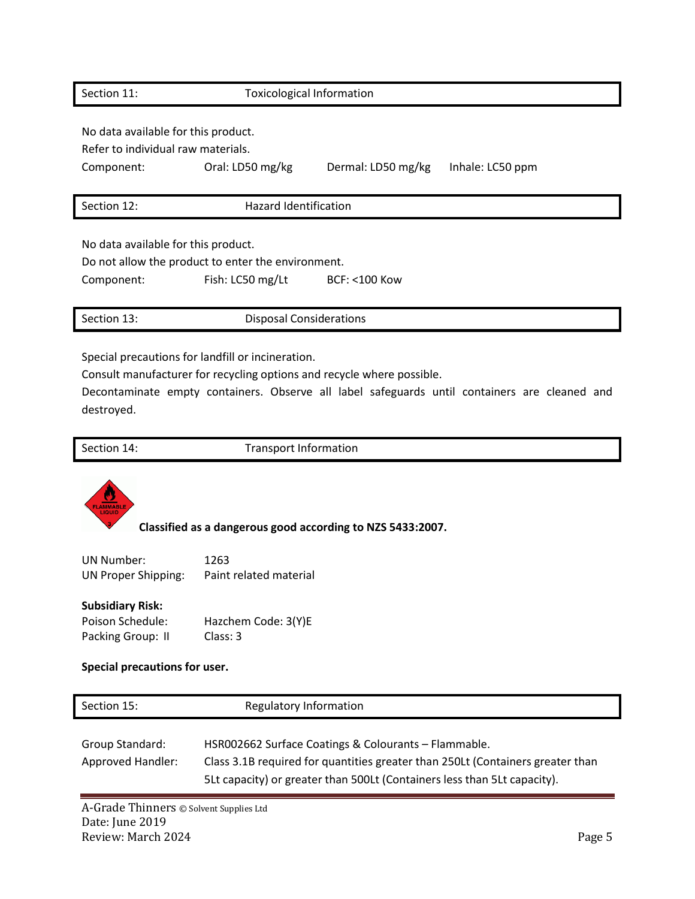| Section 11:                                                               | <b>Toxicological Information</b>                                       |                         |                  |
|---------------------------------------------------------------------------|------------------------------------------------------------------------|-------------------------|------------------|
| No data available for this product.<br>Refer to individual raw materials. |                                                                        |                         |                  |
| Component:                                                                | Oral: LD50 mg/kg                                                       | Dermal: LD50 mg/kg      | Inhale: LC50 ppm |
| Section 12:                                                               | <b>Hazard Identification</b>                                           |                         |                  |
| No data available for this product.<br>Component:                         | Do not allow the product to enter the environment.<br>Fish: LC50 mg/Lt | <b>BCF: &lt;100 Kow</b> |                  |

Section 13: Disposal Considerations

Special precautions for landfill or incineration.

Consult manufacturer for recycling options and recycle where possible.

Decontaminate empty containers. Observe all label safeguards until containers are cleaned and destroyed.

Section 14: Transport Information



**Classified as a dangerous good according to NZS 5433:2007.**

UN Number: 1263 UN Proper Shipping: Paint related material

#### **Subsidiary Risk:**

Poison Schedule: Hazchem Code: 3(Y)E Packing Group: II Class: 3

#### **Special precautions for user.**

| Section 15:                          | Regulatory Information                                                                                                                                                                                             |
|--------------------------------------|--------------------------------------------------------------------------------------------------------------------------------------------------------------------------------------------------------------------|
| Group Standard:<br>Approved Handler: | HSR002662 Surface Coatings & Colourants - Flammable.<br>Class 3.1B required for quantities greater than 250Lt (Containers greater than<br>5Lt capacity) or greater than 500Lt (Containers less than 5Lt capacity). |

A-Grade Thinners © Solvent Supplies Ltd Date: June 2019 Review: March 2024 Page 5